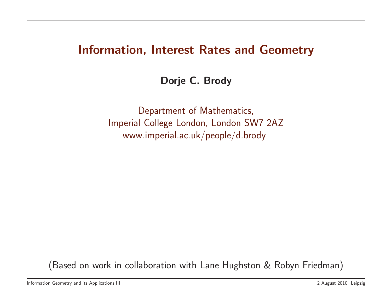# Information, Interest Rates and Geometry

Dorje C. Brody

Department of Mathematics, Imperial College London, London SW7 2AZ www.imperial.ac.uk/people/d.brody

(Based on work in collaboration with Lane Hughston & Robyn Friedman)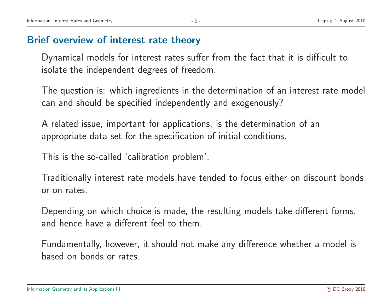#### Brief overview of interest rate theory

Dynamical models for interest rates suffer from the fact that it is difficult to isolate the independent degrees of freedom.

The question is: which ingredients in the determination of an interest rate model can and should be specified independently and exogenously?

A related issue, important for applications, is the determination of an appropriate data set for the specification of initial conditions.

This is the so-called 'calibration problem'.

Traditionally interest rate models have tended to focus either on discount bonds or on rates.

Depending on which choice is made, the resulting models take different forms, and hence have <sup>a</sup> different feel to them.

Fundamentally, however, it should not make any difference whether <sup>a</sup> model is based on bonds or rates.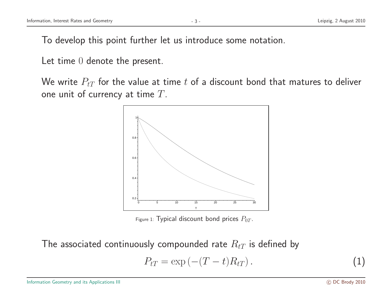To develop this point further let us introduce some notation.

Let time 0 denote the present.

We write  $P_{tT}$  for the value at time t of a discount bond that matures to deliver one unit of currency at time  $T$ .



Figure 1: Typical discount bond prices  $P_{0T}$ .

The associated continuously compounded rate  $R_{tT}$  is defined by

$$
P_{tT} = \exp(-(T-t)R_{tT}). \tag{1}
$$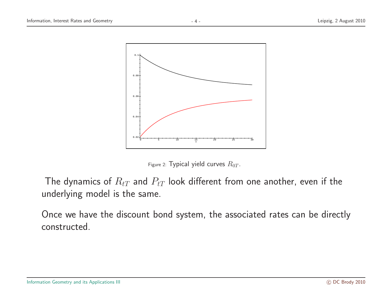

Figure 2: Typical yield curves  $R_{0T}$ .

The dynamics of  $R_{tT}$  and  $P_{tT}$  look different from one another, even if the underlying model is the same.

Once we have the discount bond system, the associated rates can be directly constructed.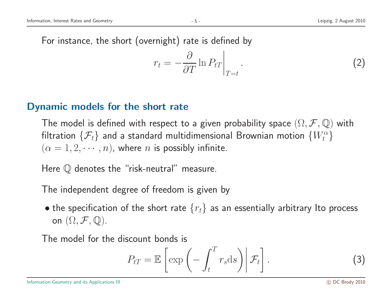For instance, the short (overnight) rate is defined by

$$
r_t = -\frac{\partial}{\partial T} \ln P_{tT} \Big|_{T=t} . \tag{2}
$$

#### Dynamic models for the short rate

The model is defined with respect to a given probability space  $(\Omega, \mathcal{F}, \mathbb{Q})$  with filtration  $\{\mathcal{F}_t\}$  and a standard multidimensional Brownian motion  $\{W_t^\alpha\}$  $(\alpha = 1, 2, \cdots, n)$ , where *n* is possibly infinite.

Here  $\mathbb Q$  denotes the "risk-neutral" measure.

The independent degree of freedom is given by

• the specification of the short rate  $\{r_t\}$  as an essentially arbitrary Ito process on  $(\Omega, \mathcal{F}, \mathbb{Q})$ .

The model for the discount bonds is

$$
P_{tT} = \mathbb{E}\left[\exp\left(-\int_t^T r_s \mathrm{d}s\right) \middle| \mathcal{F}_t\right]. \tag{3}
$$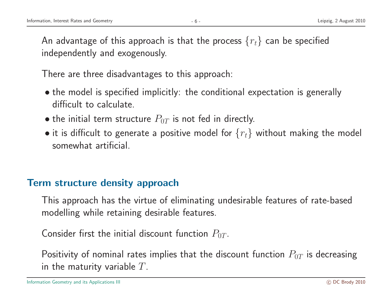An advantage of this approach is that the process  $\{r_t\}$  can be specified independently and exogenously.

There are three disadvantages to this approach:

- the model is specified implicitly: the conditional expectation is generally difficult to calculate.
- the initial term structure  $P_{0T}$  is not fed in directly.
- it is difficult to generate a positive model for  $\{r_t\}$  without making the model somewhat artificial.

## Term structure density approach

This approach has the virtue of eliminating undesirable features of rate-based modelling while retaining desirable features.

Consider first the initial discount function  $P_{0T}$ .

Positivity of nominal rates implies that the discount function  $P_{0T}$  is decreasing in the maturity variable  $T$ .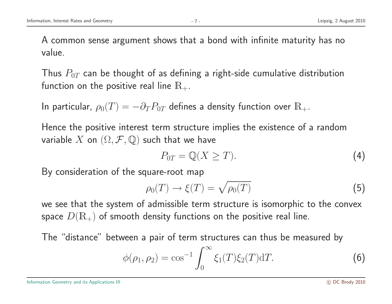A common sense argumen<sup>t</sup> shows that <sup>a</sup> bond with infinite maturity has no value.

Thus  $P_{0T}$  can be thought of as defining a right-side cumulative distribution function on the positive real line  $\mathbb{R}_+$ .

In particular,  $\rho_0(T) = -\partial_T P_{0T}$  defines a density function over  $\mathbb{R}_+$ .

Hence the positive interest term structure implies the existence of <sup>a</sup> random variable X on  $(\Omega, \mathcal{F}, \mathbb{Q})$  such that we have

$$
P_{0T} = \mathbb{Q}(X \geq T). \tag{4}
$$

By consideration of the square-root map

$$
\rho_0(T) \to \xi(T) = \sqrt{\rho_0(T)} \tag{5}
$$

we see that the system of admissible term structure is isomorphic to the convex space  $D(\mathbb{R}_+)$  of smooth density functions on the positive real line.

The "distance" between <sup>a</sup> pair of term structures can thus be measured by

$$
\phi(\rho_1, \rho_2) = \cos^{-1} \int_0^\infty \xi_1(T) \xi_2(T) dT.
$$
 (6)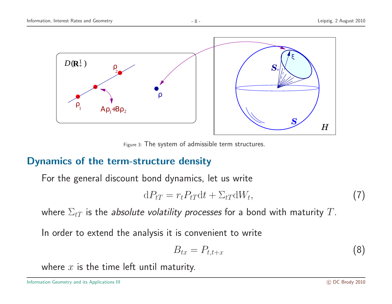

Figure 3: The system of admissible term structures.

## Dynamics of the term-structure density

For the general discount bond dynamics, let us write

$$
dP_{tT} = r_t P_{tT} dt + \Sigma_{tT} dW_t, \qquad (7)
$$

where  $\Sigma_{tT}$  is the absolute volatility processes for a bond with maturity T.

In order to extend the analysis it is convenient to write

$$
B_{tx} = P_{t,t+x} \tag{8}
$$

where  $x$  is the time left until maturity.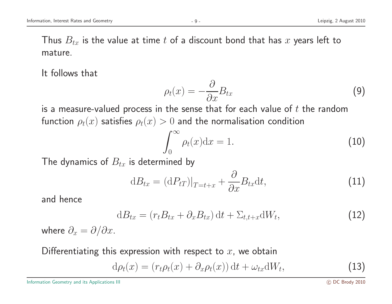It follows that

$$
\rho_t(x) = -\frac{\partial}{\partial x} B_{tx} \tag{9}
$$

is a measure-valued process in the sense that for each value of  $t$  the random function  $\rho_t(x)$  satisfies  $\rho_t(x) > 0$  and the normalisation condition

$$
\int_0^\infty \rho_t(x) dx = 1.
$$
 (10)

The dynamics of  $B_{tx}$  is determined by

$$
dB_{tx} = (dP_{tT})|_{T=t+x} + \frac{\partial}{\partial x}B_{tx}dt,
$$
\n(11)

and hence

$$
dB_{tx} = (r_t B_{tx} + \partial_x B_{tx}) dt + \Sigma_{t,t+x} dW_t,
$$
\n(12)

where  $\partial_x = \partial/\partial x$ .

Differentiating this expression with respect to  $x$ , we obtain

$$
d\rho_t(x) = (r_t \rho_t(x) + \partial_x \rho_t(x)) dt + \omega_{tx} dW_t,
$$
\n(13)

Information Geometry and its Applications III and the Second Second Second Second Control of the Second Second Second Second Second Second Second Second Second Second Second Second Second Second Second Second Second Second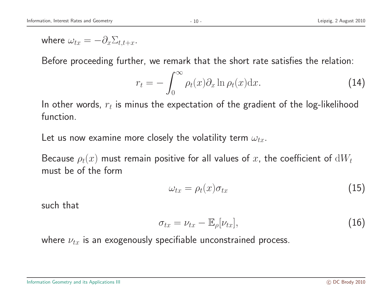where  $\omega_{tx} = -\partial_x \Sigma_{t,t+x}$ .

Before proceeding further, we remark that the short rate satisfies the relation:

$$
r_t = -\int_0^\infty \rho_t(x)\partial_x \ln \rho_t(x) dx.
$$
 (14)

In other words,  $r_t$  is minus the expectation of the gradient of the log-likelihood function.

Let us now examine more closely the volatility term  $\omega_{tx}$ .

Because  $\rho_t(x)$  must remain positive for all values of x, the coefficient of  $dW_t$ must be of the form

$$
\omega_{tx} = \rho_t(x)\sigma_{tx} \tag{15}
$$

such that

$$
\sigma_{tx} = \nu_{tx} - \mathbb{E}_{\rho}[\nu_{tx}], \qquad (16)
$$

where  $\nu_{tx}$  is an exogenously specifiable unconstrained process.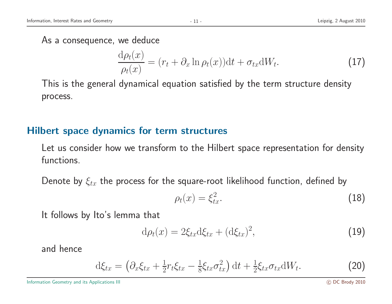## As <sup>a</sup> consequence, we deduce

$$
\frac{d\rho_t(x)}{\rho_t(x)} = (r_t + \partial_x \ln \rho_t(x))dt + \sigma_{tx}dW_t.
$$
\n(17)

This is the general dynamical equation satisfied by the term structure density process.

#### Hilbert space dynamics for term structures

Let us consider how we transform to the Hilbert space representation for density functions.

Denote by  $\xi_{tx}$  the process for the square-root likelihood function, defined by

$$
\rho_t(x) = \xi_{tx}^2. \tag{18}
$$

It follows by Ito's lemma that

$$
\mathrm{d}\rho_t(x) = 2\xi_{tx}\mathrm{d}\xi_{tx} + (\mathrm{d}\xi_{tx})^2,\tag{19}
$$

and hence

$$
\mathrm{d}\xi_{tx} = \left(\partial_x \xi_{tx} + \frac{1}{2} r_t \xi_{tx} - \frac{1}{8} \xi_{tx} \sigma_{tx}^2\right) \mathrm{d}t + \frac{1}{2} \xi_{tx} \sigma_{tx} \mathrm{d}W_t. \tag{20}
$$

Information Geometry and its Applications III and the Second Second Second Second Control of the Second Second Second Second Second Second Second Second Second Second Second Second Second Second Second Second Second Second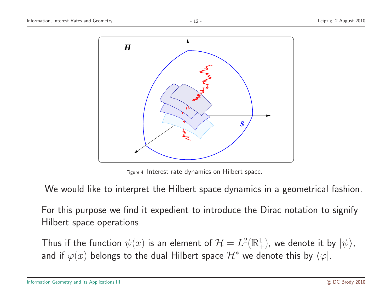

Figure 4: Interest rate dynamics on Hilbert space.

We would like to interpret the Hilbert space dynamics in <sup>a</sup> geometrical fashion.

For this purpose we find it expedient to introduce the Dirac notation to signify Hilbert space operations

Thus if the function  $\psi(x)$  is an element of  $\mathcal{H} = L^2(\mathbb{R}^1_+)$ , we denote it by  $|\psi\rangle$ , and if  $\varphi(x)$  belongs to the dual Hilbert space  $\mathcal{H}^*$  we denote this by  $\langle \varphi |$ .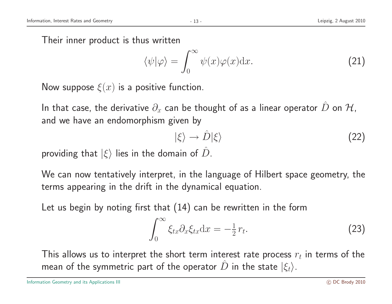Their inner product is thus written

$$
\langle \psi | \varphi \rangle = \int_0^\infty \psi(x) \varphi(x) dx.
$$
 (21)

Now suppose  $\xi(x)$  is a positive function.

In that case, the derivative  $\partial_x$  can be thought of as a linear operator  $\hat{D}$  on  $\mathcal{H},$ and we have an endomorphism given by

$$
|\xi\rangle \rightarrow \hat{D}|\xi\rangle \tag{22}
$$

providing that  $|\xi\rangle$  lies in the domain of  $\hat{D}$ .

We can now tentatively interpret, in the language of Hilbert space geometry, the terms appearing in the drift in the dynamical equation.

Let us begin by noting first that (14) can be rewritten in the form

$$
\int_0^\infty \xi_{tx} \partial_x \xi_{tx} \mathrm{d}x = -\frac{1}{2} r_t. \tag{23}
$$

This allows us to interpret the short term interest rate process  $r_t$  in terms of the mean of the symmetric part of the operator  $\hat{D}$  in the state  $\ket{\xi_t}$ .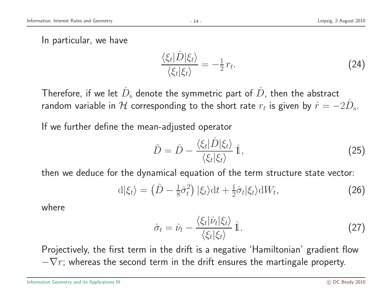In particular, we have

$$
\frac{\langle \xi_t | \hat{D} | \xi_t \rangle}{\langle \xi_t | \xi_t \rangle} = -\frac{1}{2} r_t.
$$
\n(24)

Therefore, if we let  $\hat{D}_\mathrm{s}$  denote the symmetric part of  $\hat{D}$ , then the abstract random variable in  ${\cal H}$  corresponding to the short rate  $r_t$  is given by  $\hat{r}=-2\hat{D}$ s.

If we further define the mean-adjusted operator

$$
\tilde{D} = \hat{D} - \frac{\langle \xi_t | \hat{D} | \xi_t \rangle}{\langle \xi_t | \xi_t \rangle} \hat{1},
$$
\n(25)

then we deduce for the dynamical equation of the term structure state vector:

$$
d|\xi_t\rangle = (\tilde{D} - \frac{1}{8}\hat{\sigma}_t^2) |\xi_t\rangle dt + \frac{1}{2}\hat{\sigma}_t |\xi_t\rangle dW_t, \qquad (26)
$$

where

$$
\hat{\sigma}_t = \hat{\nu}_t - \frac{\langle \xi_t | \hat{\nu}_t | \xi_t \rangle}{\langle \xi_t | \xi_t \rangle} \hat{\mathbb{1}}.
$$
\n(27)

Projectively, the first term in the drift is <sup>a</sup> negative 'Hamiltonian' gradient flow  $-\nabla r$ ; whereas the second term in the drift ensures the martingale property.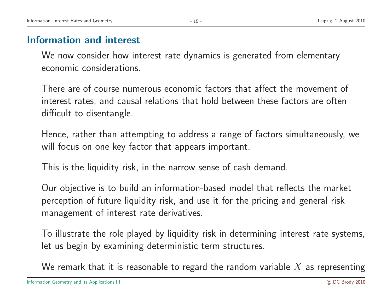## Information and interest

We now consider how interest rate dynamics is generated from elementary economic considerations.

There are of course numerous economic factors that affect the movement of interest rates, and causal relations that hold between these factors are often difficult to disentangle.

Hence, rather than attempting to address <sup>a</sup> range of factors simultaneously, we will focus on one key factor that appears important.

This is the liquidity risk, in the narrow sense of cash demand.

Our objective is to build an information-based model that reflects the market perception of future liquidity risk, and use it for the pricing and general risk managemen<sup>t</sup> of interest rate derivatives.

To illustrate the role played by liquidity risk in determining interest rate systems, let us begin by examining deterministic term structures.

We remark that it is reasonable to regard the random variable  $X$  as representing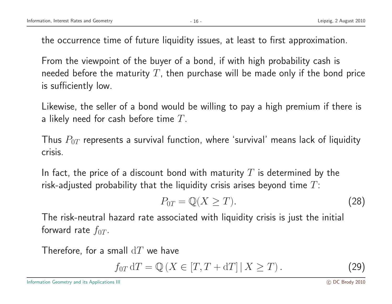the occurrence time of future liquidity issues, at least to first approximation.

From the viewpoint of the buyer of <sup>a</sup> bond, if with high probability cash is needed before the maturity  $T$ , then purchase will be made only if the bond price is sufficiently low.

Likewise, the seller of <sup>a</sup> bond would be willing to pay <sup>a</sup> high premium if there is a likely need for cash before time  $T$ .

Thus  $P_{0T}$  represents a survival function, where 'survival' means lack of liquidity crisis.

In fact, the price of a discount bond with maturity  $T$  is determined by the risk-adjusted probability that the liquidity crisis arises beyond time  $T$ :

$$
P_{0T} = \mathbb{Q}(X \ge T). \tag{28}
$$

The risk-neutral hazard rate associated with liquidity crisis is just the initial forward rate  $f_{0T}$ .

Therefore, for a small  $dT$  we have

$$
f_{0T} dT = \mathbb{Q} \left( X \in [T, T + dT] \, | \, X \ge T \right). \tag{29}
$$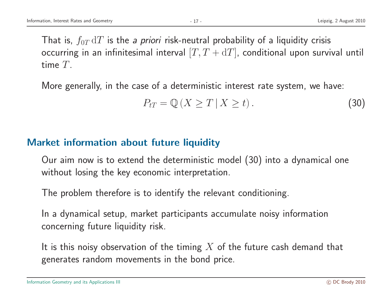That is,  $f_{0T} dT$  is the *a priori* risk-neutral probability of a liquidity crisis occurring in an infinitesimal interval  $[T, T + dT]$ , conditional upon survival until time T.

More generally, in the case of <sup>a</sup> deterministic interest rate system, we have:

$$
P_{tT} = \mathbb{Q}\left(X \ge T \,|\, X \ge t\right). \tag{30}
$$

#### Market information about future liquidity

Our aim now is to extend the deterministic model (30) into <sup>a</sup> dynamical one without losing the key economic interpretation.

The problem therefore is to identify the relevant conditioning.

In <sup>a</sup> dynamical setup, market participants accumulate noisy information concerning future liquidity risk.

It is this noisy observation of the timing  $X$  of the future cash demand that generates random movements in the bond price.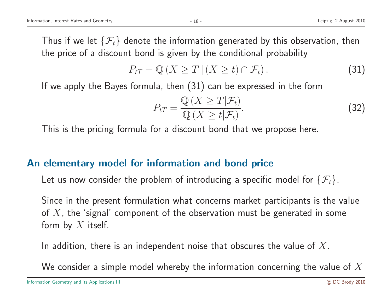Thus if we let  $\{\mathcal{F}_t\}$  denote the information generated by this observation, then the price of <sup>a</sup> discount bond is given by the conditional probability

$$
P_{tT} = \mathbb{Q}\left(X \ge T \,|\, (X \ge t) \cap \mathcal{F}_t\right). \tag{31}
$$

If we apply the Bayes formula, then (31) can be expressed in the form

$$
P_{tT} = \frac{\mathbb{Q}\left(X \ge T | \mathcal{F}_t\right)}{\mathbb{Q}\left(X \ge t | \mathcal{F}_t\right)}.\tag{32}
$$

This is the pricing formula for <sup>a</sup> discount bond that we propose here.

#### An elementary model for information and bond price

Let us now consider the problem of introducing a specific model for  $\{\mathcal{F}_t\}.$ 

Since in the present formulation what concerns market participants is the value of  $X$ , the 'signal' component of the observation must be generated in some form by  $X$  itself.

In addition, there is an independent noise that obscures the value of  $X$ .

We consider a simple model whereby the information concerning the value of  $X$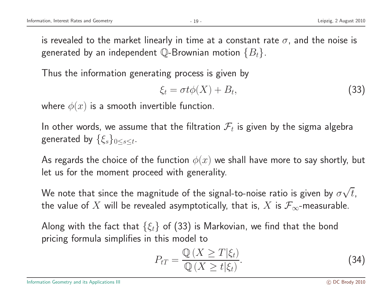is revealed to the market linearly in time at a constant rate  $\sigma$ , and the noise is generated by an independent Q-Brownian motion  $\{B_t\}$ .

Thus the information generating process is given by

$$
\xi_t = \sigma t \phi(X) + B_t,\tag{33}
$$

where  $\phi(x)$  is a smooth invertible function.

In other words, we assume that the filtration  $\mathcal{F}_t$  is given by the sigma algebra generated by  $\{\xi_s\}_{0\leq s\leq t}$ .

As regards the choice of the function  $\phi(x)$  we shall have more to say shortly, but let us for the moment proceed with generality.

We note that since the magnitude of the signal-to-noise ratio is given by  $\sigma\sqrt{t}$ , the value of X will be revealed asymptotically, that is, X is  $\mathcal{F}_{\infty}$ -measurable.

Along with the fact that  $\{\xi_t\}$  of (33) is Markovian, we find that the bond pricing formula simplifies in this model to

$$
P_{tT} = \frac{\mathbb{Q}\left(X \ge T | \xi_t\right)}{\mathbb{Q}\left(X \ge t | \xi_t\right)}.\tag{34}
$$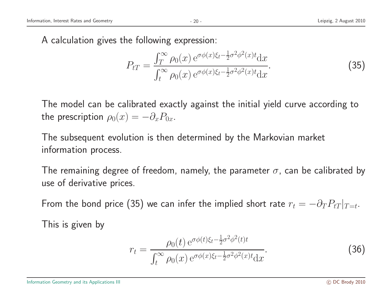A calculation gives the following expression:

$$
P_{tT} = \frac{\int_{T}^{\infty} \rho_0(x) e^{\sigma \phi(x)\xi_t - \frac{1}{2}\sigma^2 \phi^2(x)t} dx}{\int_{t}^{\infty} \rho_0(x) e^{\sigma \phi(x)\xi_t - \frac{1}{2}\sigma^2 \phi^2(x)t} dx}.
$$
 (35)

The model can be calibrated exactly against the initial yield curve according to the prescription  $\rho_0(x) = -\partial_x P_{0x}$ .

The subsequent evolution is then determined by the Markovian market information process.

The remaining degree of freedom, namely, the parameter  $\sigma$ , can be calibrated by use of derivative prices.

From the bond price (35) we can infer the implied short rate  $r_t = -\partial_T P_{tT}|_{T=t}$ .

This is given by

$$
r_t = \frac{\rho_0(t) e^{\sigma \phi(t)\xi_t - \frac{1}{2}\sigma^2 \phi^2(t)t}}{\int_t^\infty \rho_0(x) e^{\sigma \phi(x)\xi_t - \frac{1}{2}\sigma^2 \phi^2(x)t} dx}.
$$
 (36)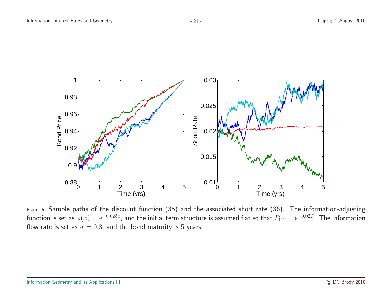

Figure 5: Sample paths of the discount function (35) and the associated short rate (36). The information-adjusting function is set as  $\phi(x) = e^{-0.025x}$ , and the initial term structure is assumed flat so that  $P_{0T} = e^{-0.02T}$ . The information flow rate is set as  $\sigma = 0.3$ , and the bond maturity is 5 years.

 $0.01\frac{1}{0}$ 

0 1 2 3 4 5

Time (yrs)

0 1 2 3 4 5

Time (yrs)

 $0.88 - 0$ 

0.9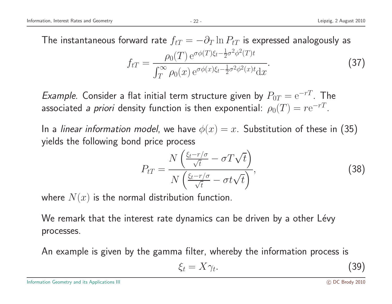The instantaneous forward rate  $f_{tT} = -\partial_T \ln P_{tT}$  is expressed analogously as  $f_{tT} = \frac{\rho_0(T) e^{\sigma \phi(T)\xi_t - \frac{1}{2}\sigma^2 \phi^2(T)t}}{\int_T^{\infty} \rho_0(x) e^{\sigma \phi(x)\xi_t - \frac{1}{2}\sigma^2 \phi^2(x)t} dx}$ . (37)

Example. Consider a flat initial term structure given by  $P_{0T} = e^{-rT}$ . The associated a priori density function is then exponential:  $\rho_0(T) = r e^{-rT}$ .

In a *linear information model*, we have  $\phi(x) = x$ . Substitution of these in (35) <sup>y</sup>ields the following bond price process

$$
P_{tT} = \frac{N\left(\frac{\xi_t - r/\sigma}{\sqrt{t}} - \sigma T \sqrt{t}\right)}{N\left(\frac{\xi_t - r/\sigma}{\sqrt{t}} - \sigma t \sqrt{t}\right)},\tag{38}
$$

where  $N(x)$  is the normal distribution function.

We remark that the interest rate dynamics can be driven by a other Lévy processes.

An example is given by the gamma filter, whereby the information process is

$$
\xi_t = X \gamma_t. \tag{39}
$$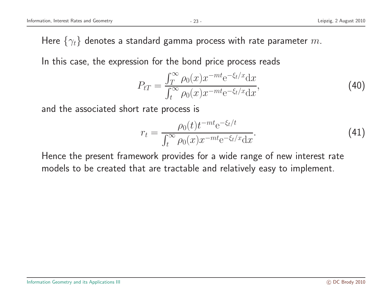Here  $\{\gamma_t\}$  denotes a standard gamma process with rate parameter m.

In this case, the expression for the bond price process reads

$$
P_{tT} = \frac{\int_{T}^{\infty} \rho_0(x) x^{-mt} e^{-\xi_t/x} dx}{\int_{t}^{\infty} \rho_0(x) x^{-mt} e^{-\xi_t/x} dx},
$$
\n(40)

and the associated short rate process is

$$
r_{t} = \frac{\rho_{0}(t)t^{-mt}e^{-\xi_{t}/t}}{\int_{t}^{\infty} \rho_{0}(x)x^{-mt}e^{-\xi_{t}/x}dx}.
$$
 (41)

Hence the present framework provides for <sup>a</sup> wide range of new interest rate models to be created that are tractable and relatively easy to implement.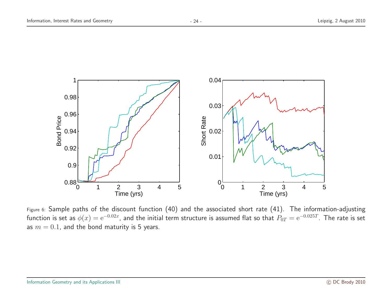

Figure 6: Sample paths of the discount function (40) and the associated short rate (41). The information-adjusting function is set as  $\phi(x) = e^{-0.02x}$ , and the initial term structure is assumed flat so that  $P_{0T} = e^{-0.025T}$ . The rate is set as  $m = 0.1$ , and the bond maturity is 5 years.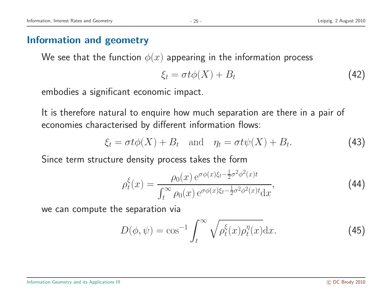## Information and geometry

We see that the function  $\phi(x)$  appearing in the information process

$$
\xi_t = \sigma t \phi(X) + B_t \tag{42}
$$

embodies <sup>a</sup> significant economic impact.

It is therefore natural to enquire how much separation are there in <sup>a</sup> pair of economies characterised by different information flows:

$$
\xi_t = \sigma t \phi(X) + B_t \quad \text{and} \quad \eta_t = \sigma t \psi(X) + B_t. \tag{43}
$$

Since term structure density process takes the form

$$
\rho_t^{\xi}(x) = \frac{\rho_0(x) e^{\sigma \phi(x)\xi_t - \frac{1}{2}\sigma^2 \phi^2(x)t}}{\int_t^{\infty} \rho_0(x) e^{\sigma \phi(x)\xi_t - \frac{1}{2}\sigma^2 \phi^2(x)t} dx},
$$
\n(44)

we can compute the separation via

$$
D(\phi, \psi) = \cos^{-1} \int_t^{\infty} \sqrt{\rho_t^{\xi}(x) \rho_t^{\eta}(x)} dx.
$$
 (45)

#### Information Geometry and its Applications III and the Second Second Second Second Control of the Second Second Second Second Second Second Second Second Second Second Second Second Second Second Second Second Second Second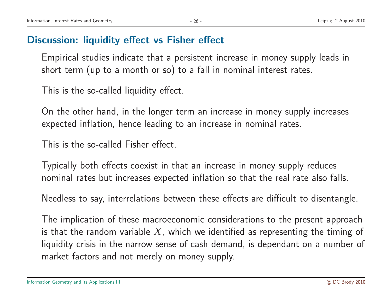## Discussion: liquidity effect vs Fisher effect

Empirical studies indicate that <sup>a</sup> persistent increase in money supply leads in short term (up to <sup>a</sup> month or so) to <sup>a</sup> fall in nominal interest rates.

This is the so-called liquidity effect.

On the other hand, in the longer term an increase in money supply increases expected inflation, hence leading to an increase in nominal rates.

This is the so-called Fisher effect.

Typically both effects coexist in that an increase in money supply reduces nominal rates but increases expected inflation so that the real rate also falls.

Needless to say, interrelations between these effects are difficult to disentangle.

The implication of these macroeconomic considerations to the present approach is that the random variable  $X$ , which we identified as representing the timing of liquidity crisis in the narrow sense of cash demand, is dependant on <sup>a</sup> number of market factors and not merely on money supply.